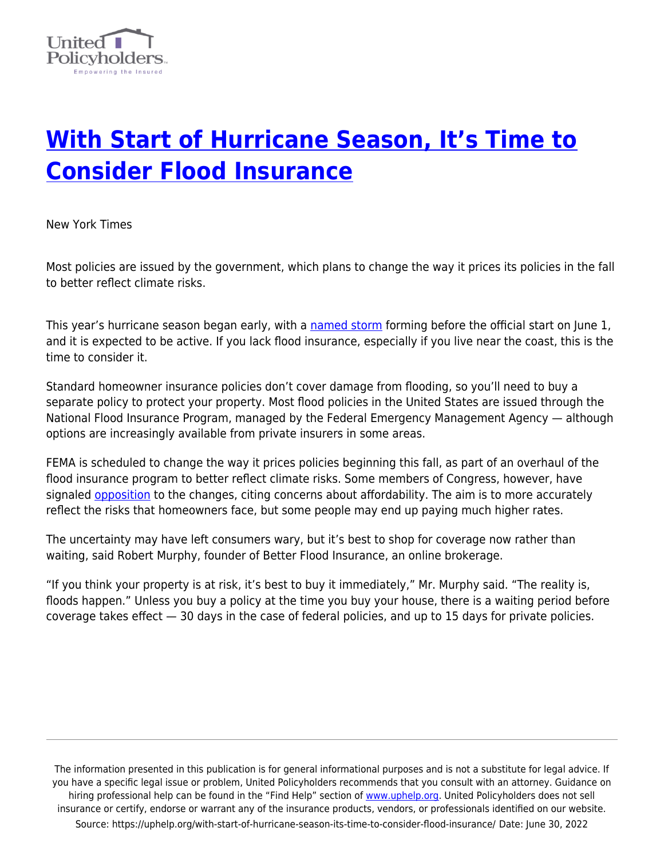

## **[With Start of Hurricane Season, It's Time to](https://uphelp.org/with-start-of-hurricane-season-its-time-to-consider-flood-insurance/) [Consider Flood Insurance](https://uphelp.org/with-start-of-hurricane-season-its-time-to-consider-flood-insurance/)**

New York Times

Most policies are issued by the government, which plans to change the way it prices its policies in the fall to better reflect climate risks.

This year's hurricane season began early, with a [named storm](https://www.nytimes.com/2021/05/22/us/ana-storm.html) forming before the official start on June 1, and it is expected to be active. If you lack flood insurance, especially if you live near the coast, this is the time to consider it.

Standard homeowner insurance policies don't cover damage from flooding, so you'll need to buy a separate policy to protect your property. Most flood policies in the United States are issued through the National Flood Insurance Program, managed by the Federal Emergency Management Agency — although options are increasingly available from private insurers in some areas.

FEMA is scheduled to change the way it prices policies beginning this fall, as part of an overhaul of the flood insurance program to better reflect climate risks. Some members of Congress, however, have signaled [opposition](https://www.nytimes.com/2021/03/18/climate/chuck-schumer-fema-flood-insurance.html) to the changes, citing concerns about affordability. The aim is to more accurately reflect the risks that homeowners face, but some people may end up paying much higher rates.

The uncertainty may have left consumers wary, but it's best to shop for coverage now rather than waiting, said Robert Murphy, founder of Better Flood Insurance, an online brokerage.

"If you think your property is at risk, it's best to buy it immediately," Mr. Murphy said. "The reality is, floods happen." Unless you buy a policy at the time you buy your house, there is a waiting period before coverage takes effect — 30 days in the case of federal policies, and up to 15 days for private policies.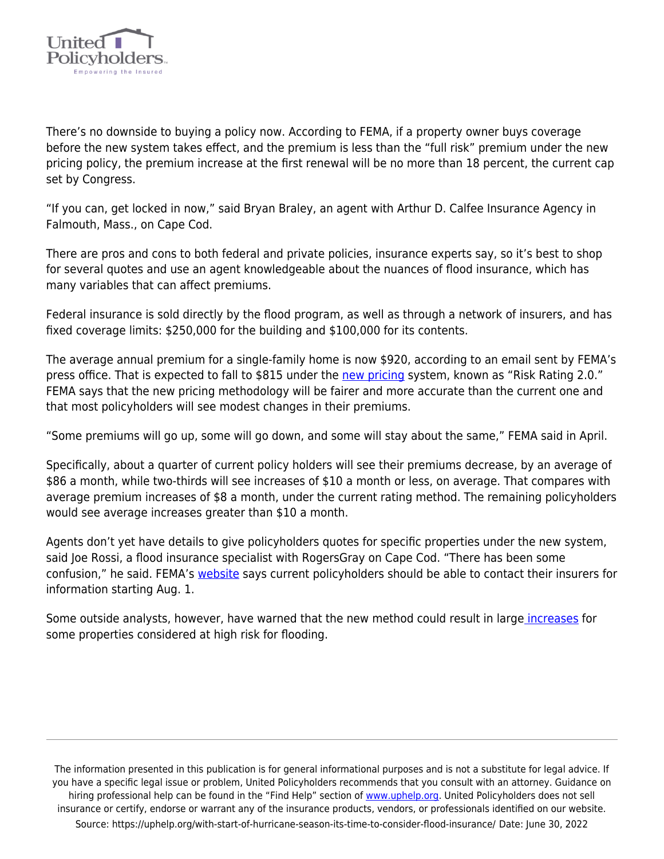

There's no downside to buying a policy now. According to FEMA, if a property owner buys coverage before the new system takes effect, and the premium is less than the "full risk" premium under the new pricing policy, the premium increase at the first renewal will be no more than 18 percent, the current cap set by Congress.

"If you can, get locked in now," said Bryan Braley, an agent with Arthur D. Calfee Insurance Agency in Falmouth, Mass., on Cape Cod.

There are pros and cons to both federal and private policies, insurance experts say, so it's best to shop for several quotes and use an agent knowledgeable about the nuances of flood insurance, which has many variables that can affect premiums.

Federal insurance is sold directly by the flood program, as well as through a network of insurers, and has fixed coverage limits: \$250,000 for the building and \$100,000 for its contents.

The average annual premium for a single-family home is now \$920, according to an email sent by FEMA's press office. That is expected to fall to \$815 under the [new pricing](https://www.fema.gov/sites/default/files/documents/fema_risk-rating-2.0-national-rate-analysis.pdf) system, known as "Risk Rating 2.0." FEMA says that the new pricing methodology will be fairer and more accurate than the current one and that most policyholders will see modest changes in their premiums.

"Some premiums will go up, some will go down, and some will stay about the same," FEMA said in April.

Specifically, about a quarter of current policy holders will see their premiums decrease, by an average of \$86 a month, while two-thirds will see increases of \$10 a month or less, on average. That compares with average premium increases of \$8 a month, under the current rating method. The remaining policyholders would see average increases greater than \$10 a month.

Agents don't yet have details to give policyholders quotes for specific properties under the new system, said Joe Rossi, a flood insurance specialist with RogersGray on Cape Cod. "There has been some confusion," he said. FEMA's [website](https://www.fema.gov/flood-insurance/work-with-nfip/risk-rating) says current policyholders should be able to contact their insurers for information starting Aug. 1.

Some outside analysts, however, have warned that the new method could result in larg[e increases](https://www.nytimes.com/2021/02/22/climate/flood-insurance-fema.html) for some properties considered at high risk for flooding.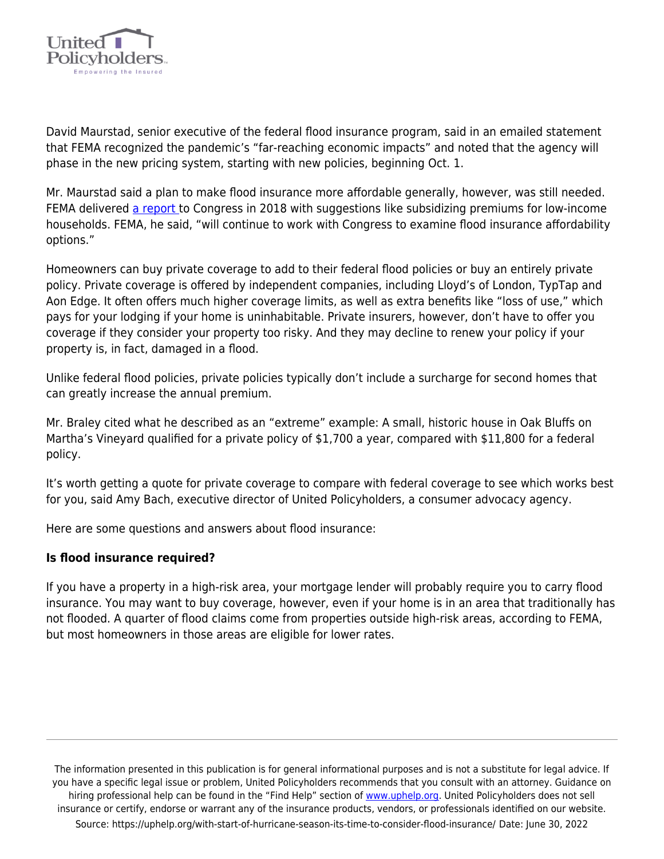

David Maurstad, senior executive of the federal flood insurance program, said in an emailed statement that FEMA recognized the pandemic's "far-reaching economic impacts" and noted that the agency will phase in the new pricing system, starting with new policies, beginning Oct. 1.

Mr. Maurstad said a plan to make flood insurance more affordable generally, however, was still needed. FEMA delivered [a report](https://www.fema.gov/sites/default/files/2020-05/Affordability_april_2018.pdf) to Congress in 2018 with suggestions like subsidizing premiums for low-income households. FEMA, he said, "will continue to work with Congress to examine flood insurance affordability options."

Homeowners can buy private coverage to add to their federal flood policies or buy an entirely private policy. Private coverage is offered by independent companies, including Lloyd's of London, TypTap and Aon Edge. It often offers much higher coverage limits, as well as extra benefits like "loss of use," which pays for your lodging if your home is uninhabitable. Private insurers, however, don't have to offer you coverage if they consider your property too risky. And they may decline to renew your policy if your property is, in fact, damaged in a flood.

Unlike federal flood policies, private policies typically don't include a surcharge for second homes that can greatly increase the annual premium.

Mr. Braley cited what he described as an "extreme" example: A small, historic house in Oak Bluffs on Martha's Vineyard qualified for a private policy of \$1,700 a year, compared with \$11,800 for a federal policy.

It's worth getting a quote for private coverage to compare with federal coverage to see which works best for you, said Amy Bach, executive director of United Policyholders, a consumer advocacy agency.

Here are some questions and answers about flood insurance:

## **Is flood insurance required?**

If you have a property in a high-risk area, your mortgage lender will probably require you to carry flood insurance. You may want to buy coverage, however, even if your home is in an area that traditionally has not flooded. A quarter of flood claims come from properties outside high-risk areas, according to FEMA, but most homeowners in those areas are eligible for lower rates.